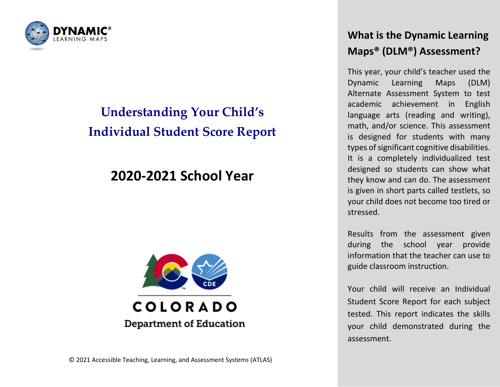

# **Understanding Your Child's Individual Student Score Report**

## **2020-2021 School Year**



## **What is the Dynamic Learning Maps® (DLM®) Assessment?**

This year, your child's teacher used the Dynamic Learning Maps (DLM) Alternate Assessment System to test academic achievement in English language arts (reading and writing), math, and/or science. This assessment is designed for students with many types of significant cognitive disabilities. It is a completely individualized test designed so students can show what they know and can do. The assessment is given in short parts called testlets, so your child does not become too tired or stressed.

Results from the assessment given during the school year provide information that the teacher can use to guide classroom instruction.

Your child will receive an Individual Student Score Report for each subject tested. This report indicates the skills your child demonstrated during the assessment.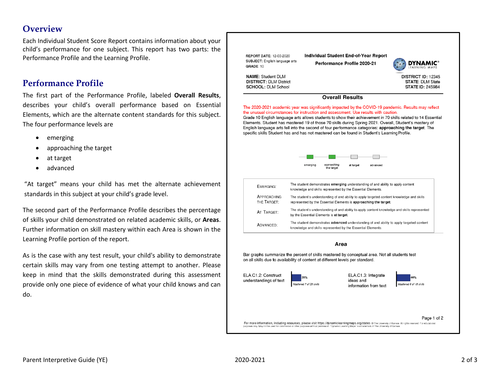### **Overview**

Each Individual Student Score Report contains information about your child's performance for one subject. This report has two parts: the Performance Profile and the Learning Profile.

#### **Performance Profile**

The first part of the Performance Profile, labeled **Overall Results**, describes your child's overall performance based on Essential Elements, which are the alternate content standards for this subject. The four performance levels are

- emerging
- approaching the target
- at target
- advanced

"At target" means your child has met the alternate achievement standards in this subject at your child's grade level.

The second part of the Performance Profile describes the percentage of skills your child demonstrated on related academic skills, or **Areas**. Further information on skill mastery within each Area is shown in the Learning Profile portion of the report.

As is the case with any test result, your child's ability to demonstrate certain skills may vary from one testing attempt to another. Please keep in mind that the skills demonstrated during this assessment provide only one piece of evidence of what your child knows and can do.